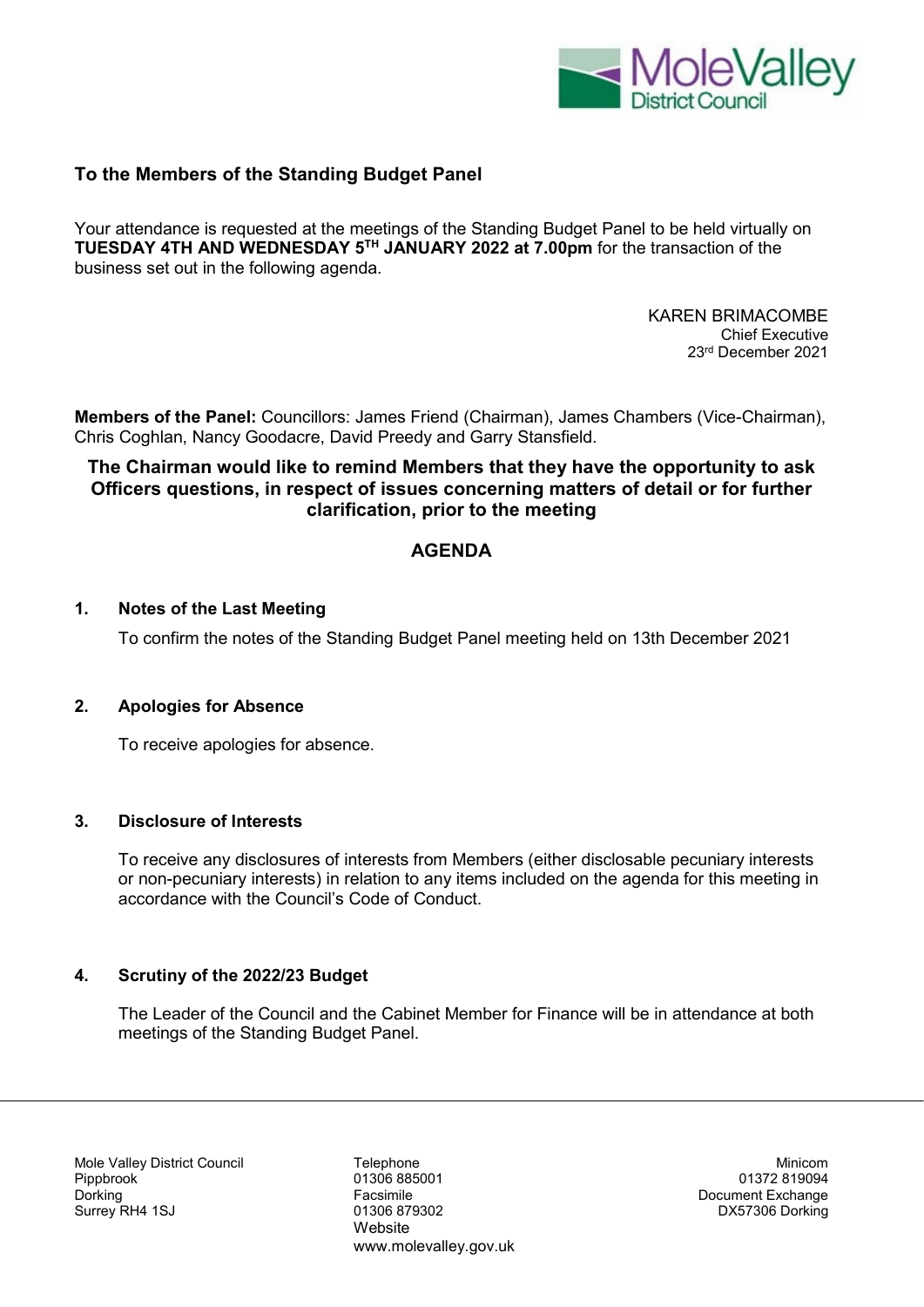

# **To the Members of the Standing Budget Panel**

Your attendance is requested at the meetings of the Standing Budget Panel to be held virtually on **TUESDAY 4TH AND WEDNESDAY 5TH JANUARY 2022 at 7.00pm** for the transaction of the business set out in the following agenda.

> KAREN BRIMACOMBE Chief Executive 23rd December 2021

**Members of the Panel:** Councillors: James Friend (Chairman), James Chambers (Vice-Chairman), Chris Coghlan, Nancy Goodacre, David Preedy and Garry Stansfield.

# **The Chairman would like to remind Members that they have the opportunity to ask Officers questions, in respect of issues concerning matters of detail or for further clarification, prior to the meeting**

# **AGENDA**

#### **1. Notes of the Last Meeting**

To confirm the notes of the Standing Budget Panel meeting held on 13th December 2021

### **2. Apologies for Absence**

To receive apologies for absence.

#### **3. Disclosure of Interests**

To receive any disclosures of interests from Members (either disclosable pecuniary interests or non-pecuniary interests) in relation to any items included on the agenda for this meeting in accordance with the Council's Code of Conduct.

#### **4. Scrutiny of the 2022/23 Budget**

The Leader of the Council and the Cabinet Member for Finance will be in attendance at both meetings of the Standing Budget Panel.

Mole Valley District Council Telephone Minicom Pippbrook 01306 885001 01372 819094 Surrey RH4 1SJ 01306 879302 DX57306 Dorking

Website www.molevalley.gov.uk Document Exchange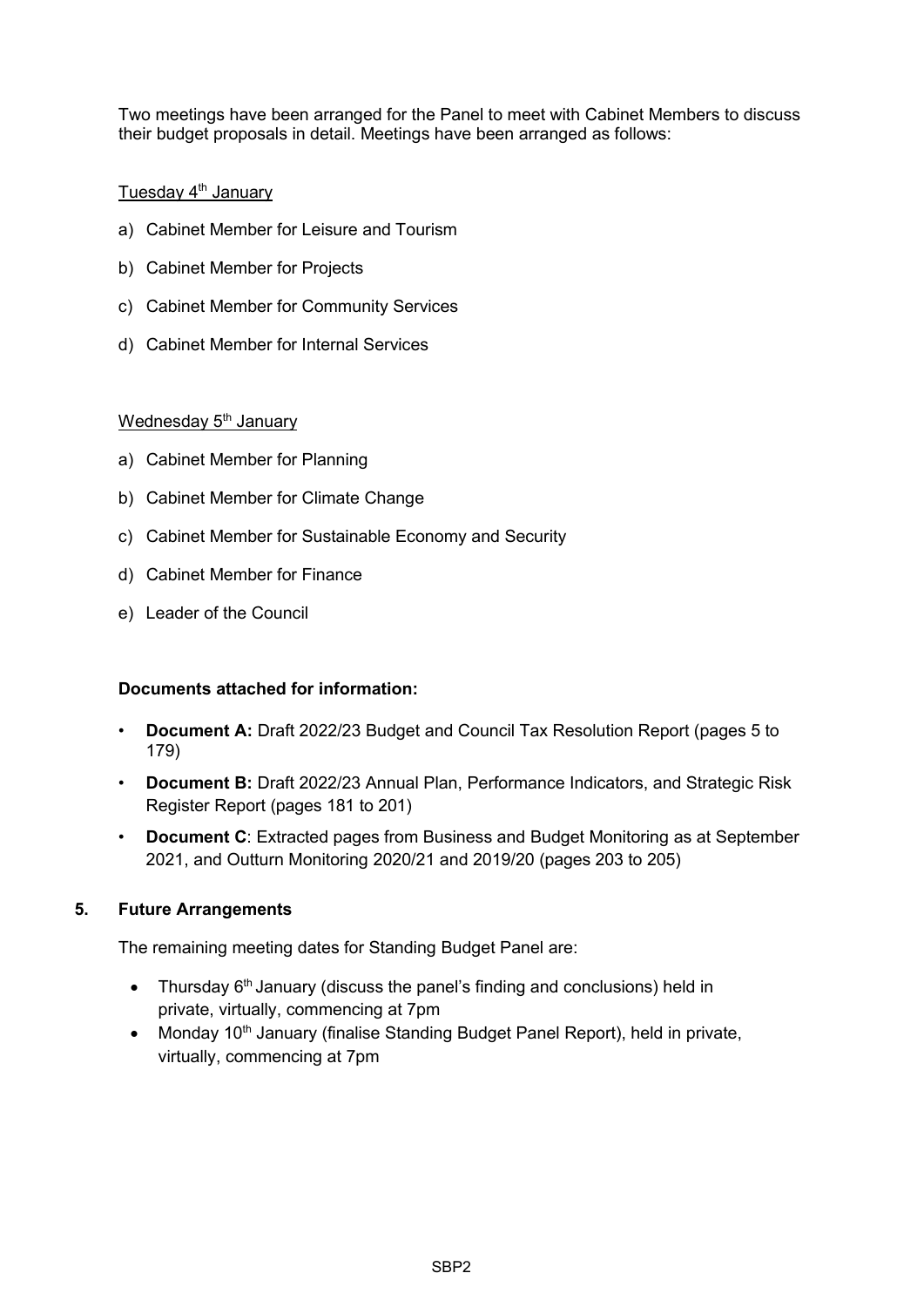Two meetings have been arranged for the Panel to meet with Cabinet Members to discuss their budget proposals in detail. Meetings have been arranged as follows:

# Tuesday  $4<sup>th</sup>$  January

- a) Cabinet Member for Leisure and Tourism
- b) Cabinet Member for Projects
- c) Cabinet Member for Community Services
- d) Cabinet Member for Internal Services

## Wednesday 5<sup>th</sup> January

- a) Cabinet Member for Planning
- b) Cabinet Member for Climate Change
- c) Cabinet Member for Sustainable Economy and Security
- d) Cabinet Member for Finance
- e) Leader of the Council

## **Documents attached for information:**

- **Document A:** Draft 2022/23 Budget and Council Tax Resolution Report (pages 5 to 179)
- **Document B:** Draft 2022/23 Annual Plan, Performance Indicators, and Strategic Risk Register Report (pages 181 to 201)
- **Document C:** Extracted pages from Business and Budget Monitoring as at September 2021, and Outturn Monitoring 2020/21 and 2019/20 (pages 203 to 205)

## **5. Future Arrangements**

The remaining meeting dates for Standing Budget Panel are:

- Thursday 6<sup>th</sup> January (discuss the panel's finding and conclusions) held in private, virtually, commencing at 7pm
- Monday 10<sup>th</sup> January (finalise Standing Budget Panel Report), held in private, virtually, commencing at 7pm